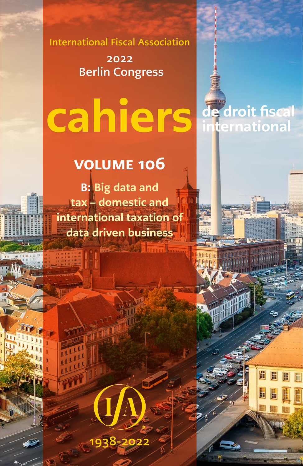International Fiscal Association

2022 Berlin Congress

# cahiers

de droit fiscal

international

# volume 106

B: Big data and tax – domestic and international taxation of data driven business

1938-2022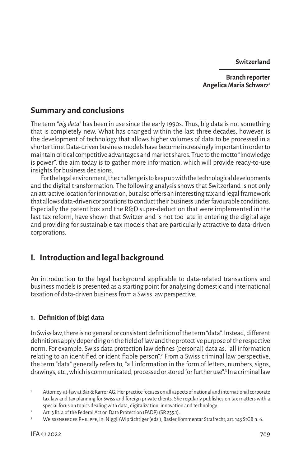**Switzerland**

**Branch reporter Angelica Maria Schwarz**<sup>1</sup>

# **Summary and conclusions**

The term "*big data*" has been in use since the early 1990s. Thus, big data is not something that is completely new. What has changed within the last three decades, however, is the development of technology that allows higher volumes of data to be processed in a shorter time. Data-driven business models have become increasingly important in order to maintain critical competitive advantages and market shares. True to the motto "knowledge is power", the aim today is to gather more information, which will provide ready-to-use insights for business decisions.

For the legal environment, the challenge is to keep up with the technological developments and the digital transformation. The following analysis shows that Switzerland is not only an attractive location for innovation, but also offers an interesting tax and legal framework that allows data-driven corporations to conduct their business under favourable conditions. Especially the patent box and the R&D super-deduction that were implemented in the last tax reform, have shown that Switzerland is not too late in entering the digital age and providing for sustainable tax models that are particularly attractive to data-driven corporations.

# **I. Introduction and legal background**

An introduction to the legal background applicable to data-related transactions and business models is presented as a starting point for analysing domestic and international taxation of data-driven business from a Swiss law perspective.

# **1. Definition of(big) data**

In Swiss law, there is no general or consistent definition of the term "data". Instead, different definitions apply depending on the field of law and the protective purpose of the respective norm. For example, Swiss data protection law defines (personal) data as, "all information relating to an identified or identifiable person".<sup>2</sup> From a Swiss criminal law perspective, the term "data" generally refers to, "all information in the form of letters, numbers, signs, drawings, etc., which is communicated, processed or stored for further use".<sup>3</sup> In a criminal law

<sup>1</sup> Attorney-at-law at Bär & Karrer AG. Her practice focuses on all aspects of national and international corporate tax law and tax planning for Swiss and foreign private clients. She regularly publishes on tax matters with a special focus on topics dealing with data, digitalization, innovation and technology.

<sup>2</sup> Art. 3 lit. a of the Federal Act on Data Protection (FADP) (SR 235.1).

<sup>3</sup> Weissenberger Philippe, in: Niggli/Wiprächtiger (eds.), Basler Kommentar Strafrecht, art. 143 StGB n. 6.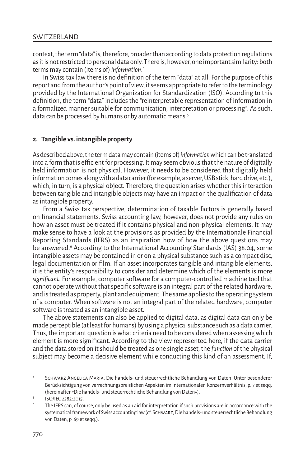context, the term "data" is, therefore, broader than according to data protection regulations as it is not restricted to personal data only. There is, however, one important similarity: both terms may contain (items of) *information*. 4

In Swiss tax law there is no definition of the term "data" at all. For the purpose of this report and from the author's point of view, it seems appropriate to refer to the terminology provided by the International Organization for Standardization (ISO). According to this definition, the term "data" includes the "reinterpretable representation of information in a formalized manner suitable for communication, interpretation or processing*"*. As such, data can be processed by humans or by automatic means.<sup>5</sup>

# **2. Tangible vs. intangible property**

As described above, the term data may contain (items of) *information* which can be translated into a form that is efficient for processing. It may seem obvious that the nature of digitally held information is not physical. However, it needs to be considered that digitally held information comes along with a data carrier (for example, a server, USB stick, hard drive, etc.), which, in turn, is a physical object. Therefore, the question arises whether this interaction between tangible and intangible objects may have an impact on the qualification of data as intangible property.

From a Swiss tax perspective, determination of taxable factors is generally based on financial statements. Swiss accounting law, however, does not provide any rules on how an asset must be treated if it contains physical and non-physical elements. It may make sense to have a look at the provisions as provided by the Internationale Financial Reporting Standards (IFRS) as an inspiration how of how the above questions may be answered.<sup>6</sup> According to the International Accounting Standards (IAS) 38.04, some intangible assets may be contained in or on a physical substance such as a compact disc, legal documentation or film. If an asset incorporates tangible and intangible elements, it is the entity's responsibility to consider and determine which of the elements is more *significant*. For example, computer software for a computer-controlled machine tool that cannot operate without that specific software is an integral part of the related hardware, and is treated as property, plant and equipment. The same applies to the operating system of a computer. When software is not an integral part of the related hardware, computer software is treated as an intangible asset.

The above statements can also be applied to digital data, as digital data can only be made perceptible (at least for humans) by using a physical substance such as a data carrier. Thus, the important question is what criteria need to be considered when assessing which element is more significant. According to the view represented here, if the data carrier and the data stored on it should be treated as one single asset, the *function* of the physical subject may become a decisive element while conducting this kind of an assessment. If,

SCHWARZ ANGELICA MARIA, Die handels- und steuerrechtliche Behandlung von Daten, Unter besonderer Berücksichtigung von verrechnungspreislichen Aspekten im internationalen Konzernverhältnis, p. 7 et seqq. (hereinafter «Die handels- und steuerrechtliche Behandlung von Daten»).

<sup>5</sup> ISO/IEC 2382:2015.

The IFRS can, of course, only be used as an aid for interpretation if such provisions are in accordance with the systematical framework of Swiss accounting law (cf. Schwarz, Die handels- und steuerrechtliche Behandlung von Daten, p. 69 et seqq.).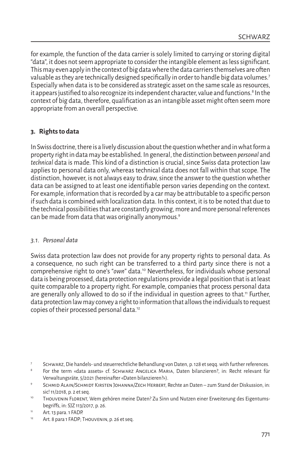for example, the function of the data carrier is solely limited to carrying or storing digital "data", it does not seem appropriate to consider the intangible element as less significant. This may even apply in the context of big data where the data carriers themselves are often valuable as they are technically designed specifically in order to handle big data volumes.<sup>7</sup> Especially when data is to be considered as strategic asset on the same scale as resources, it appears justified to also recognize its independent character, value and functions.<sup>8</sup> In the context of big data, therefore, qualification as an intangible asset might often seem more appropriate from an overall perspective.

# **3. Rights to data**

In Swiss doctrine, there is a lively discussion about the question whether and in what form a property right in data may be established. In general, the distinction between *personal* and *technical* data is made. This kind of a distinction is crucial, since Swiss data protection law applies to personal data only, whereas technical data does not fall within that scope. The distinction, however, is not always easy to draw, since the answer to the question whether data can be assigned to at least one identifiable person varies depending on the context. For example, information that is recorded by a car may be attributable to a specific person if such data is combined with localization data. In this context, it is to be noted that due to the technical possibilities that are constantly growing, more and more personal references can be made from data that was originally anonymous.<sup>9</sup>

# *3.1. Personal data*

Swiss data protection law does not provide for any property rights to personal data. As a consequence, no such right can be transferred to a third party since there is not a comprehensive right to one's "*own*" data.10 Nevertheless, for individuals whose personal data is being processed, data protection regulations provide a legal position that is at least quite comparable to a property right. For example, companies that process personal data are generally only allowed to do so if the individual in question agrees to that.<sup>11</sup> Further, data protection law may convey a right to information that allows the individuals to request copies of their processed personal data.12

<sup>7</sup> Schwarz, Die handels- und steuerrechtliche Behandlung von Daten, p. 128 et seqq. with further references.

<sup>8</sup> For the term «data assets» cf. SCHWARZ ANGELICA MARIA, Daten bilanzieren?, in: Recht relevant für Verwaltungsräte, 5/2021 (hereinafter «Daten bilanzieren?»).

SCHMID ALAIN/SCHMIDT KIRSTEN JOHANNA/ZECH HERBERT, Rechte an Daten – zum Stand der Diskussion, in: sic! 11/2018, p. 2 et seq.

<sup>&</sup>lt;sup>10</sup> Thouvenin Florent, Wem gehören meine Daten? Zu Sinn und Nutzen einer Erweiterung des Eigentumsbegriffs, in: SJZ 113/2017, p. 26.

<sup>11</sup> Art. 13 para. 1 FADP.

<sup>&</sup>lt;sup>12</sup> Art. 8 para 1 FADP; THOUVENIN, p. 26 et seq.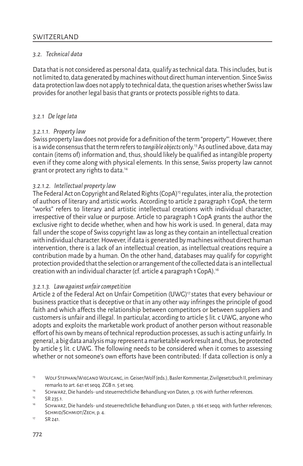# *3.2. Technical data*

Data that is not considered as personal data, qualify as technical data. This includes, but is not limited to, data generated by machines without direct human intervention. Since Swiss data protection law does not apply to technical data, the question arises whether Swiss law provides for another legal basis that grants or protects possible rights to data.

# *3.2.1 De lege lata*

# *3.2.1.1. Property law*

Swiss property law does not provide for a definition of the term "property"'. However, there is a wide consensus that the term refers to *tangible objects* only.13 As outlined above, data may contain (items of) information and, thus, should likely be qualified as intangible property even if they come along with physical elements. In this sense, Swiss property law cannot grant or protect any rights to data.14

# *3.2.1.2. Intellectual property law*

The Federal Act on Copyright and Related Rights (CopA)<sup>15</sup> regulates, inter alia, the protection of authors of literary and artistic works. According to article 2 paragraph 1 CopA, the term "works" refers to literary and artistic intellectual creations with individual character, irrespective of their value or purpose. Article 10 paragraph 1 CopA grants the author the exclusive right to decide whether, when and how his work is used. In general, data may fall under the scope of Swiss copyright law as long as they contain an intellectual creation with individual character. However, if data is generated by machines without direct human intervention, there is a lack of an intellectual creation, as intellectual creations require a contribution made by a human. On the other hand, databases may qualify for copyright protection provided that the selection or arrangement of the collected data is an intellectual creation with an individual character (cf. article 4 paragraph 1 CopA).16

# *3.2.1.3. Law against unfair competition*

Article 2 of the Federal Act on Unfair Competition (UWG)<sup>17</sup> states that every behaviour or business practice that is deceptive or that in any other way infringes the principle of good faith and which affects the relationship between competitors or between suppliers and customers is unfair and illegal. In particular, according to article 5 lit. c UWG, anyone who adopts and exploits the marketable work product of another person without reasonable effort of his own by means of technical reproduction processes, as such is acting unfairly. In general, a big data analysis may represent a marketable work result and, thus, be protected by article 5 lit. c UWG. The following needs to be considered when it comes to assessing whether or not someone's own efforts have been contributed: If data collection is only a

<sup>&</sup>lt;sup>13</sup> WOLF STEPHAN/WIEGAND WOLFGANG, in: Geiser/Wolf (eds.), Basler Kommentar, Zivilgesetzbuch II, preliminary remarks to art. 641 et seqq. ZGB n. 5 et seq.

<sup>14</sup> Schwarz, Die handels- und steuerrechtliche Behandlung von Daten, p. 176 with further references.

 $^{15}$  SR 235.1.

<sup>16</sup> Schwarz, Die handels- und steuerrechtliche Behandlung von Daten, p. 186 et seqq. with further references; SCHMID/SCHMIDT/ZECH, p. 4.

<sup>&</sup>lt;sup>17</sup> SR 241.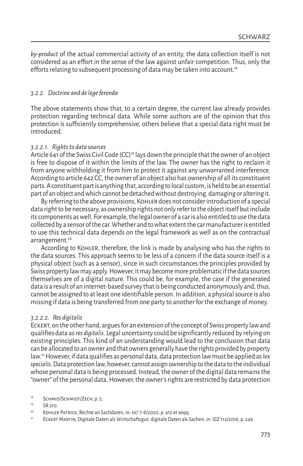*by-product* of the actual commercial activity of an entity, the data collection itself is not considered as an effort in the sense of the law against unfair competition. Thus, only the efforts relating to subsequent processing of data may be taken into account.<sup>18</sup>

# *3.2.2. Doctrine and de lege ferenda*

The above statements show that, to a certain degree, the current law already provides protection regarding technical data. While some authors are of the opinion that this protection is sufficiently comprehensive, others believe that a special data right must be introduced.

## *3.2.2.1. Rights to data sources*

Article 641 of the Swiss Civil Code (CC)<sup>19</sup> lays down the principle that the owner of an object is free to dispose of it within the limits of the law. The owner has the right to reclaim it from anyone withholding it from him to protect it against any unwarranted interference. According to article 642 CC, the owner of an object also has ownership of all its constituent parts. A constituent part is anything that, according to local custom, is held to be an essential part of an object and which cannot be detached without destroying, damaging or altering it.

By referring to the above provisions, Kohler does not consider introduction of a special data right to be necessary, as ownership rights not only refer to the object itself but include its components as well. For example, the legal owner of a car is also entitled to use the data collected by a sensor of the car. Whether and to what extent the car manufacturer is entitled to use this technical data depends on the legal framework as well as on the contractual arrangement.<sup>20</sup>

According to Kohler, therefore, the link is made by analysing who has the rights to the data sources. This approach seems to be less of a concern if the data source itself is a physical object (such as a sensor), since in such circumstances the principles provided by Swiss property law may apply. However, it may become more problematic if the data sources themselves are of a digital nature. This could be, for example, the case if the generated data is a result of an internet-based survey that is being conducted anonymously and, thus, cannot be assigned to at least one identifiable person. In addition, a physical source is also missing if data is being transferred from one party to another for the exchange of money.

# *3.2.2.2. Res digitalis*

Eckert, on the other hand, argues for an extension of the concept of Swiss property law and qualifies data as *res digitalis*. Legal uncertainty could be significantly reduced by relying on existing principles. This kind of an understanding would lead to the conclusion that data can be allocated to an owner and that owners generally have the rights provided by property law.21 However, if data qualifies as personal data, data protection law must be applied as *lex specialis*. Data protection law, however, cannot assign ownership to the data to the individual whose personal data is being processed. Instead, the owner of the digital data remains the "owner" of the personal data. However, the owner's rights are restricted by data protection

<sup>18</sup> SCHMID/SCHMIDT/ZECH, p. 5.

<sup>&</sup>lt;sup>19</sup> SR 210.

<sup>20</sup> Kohler Patrick, Rechte an Sachdaten, in: sic! 7-8/2020, p. 412 et seqq.

<sup>21</sup> Eckert Martin, Digitale Daten als Wirtschaftsgut: digitale Daten als Sachen, in: SJZ 112/2016, p. 249.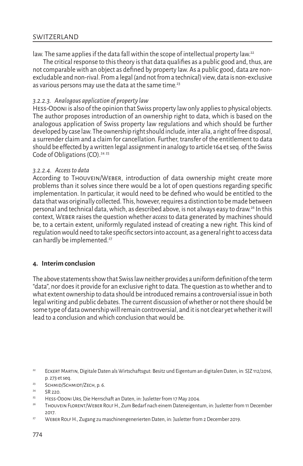# **SWITZERLAND**

law. The same applies if the data fall within the scope of intellectual property law.<sup>22</sup>

The critical response to this theory is that data qualifies as a public good and, thus, are not comparable with an object as defined by property law. As a public good, data are nonexcludable and non-rival. From a legal (and not from a technical) view, data is non-exclusive as various persons may use the data at the same time.<sup>23</sup>

# *3.2.2.3. Analogous application of property law*

Hess-Odoni is also of the opinion that Swiss property law only applies to physical objects. The author proposes introduction of an ownership right to data, which is based on the analogous application of Swiss property law regulations and which should be further developed by case law. The ownership right should include, inter alia, a right of free disposal, a surrender claim and a claim for cancellation. Further, transfer of the entitlement to data should be effected by a written legal assignment in analogy to article 164 et seq. of the Swiss Code of Obligations  $(CO)$ .<sup>24 25</sup>

# *3.2.2.4. Access to data*

According to Thouvein/Weber, introduction of data ownership might create more problems than it solves since there would be a lot of open questions regarding specific implementation. In particular, it would need to be defined who would be entitled to the data that was originally collected. This, however, requires a distinction to be made between personal and technical data, which, as described above, is not always easy to draw.26 In this context, Weber raises the question whether *access* to data generated by machines should be, to a certain extent, uniformly regulated instead of creating a new right. This kind of regulation would need to take specific sectors into account, as a general right to access data can hardly be implemented.<sup>27</sup>

# **4. Interim conclusion**

The above statements show that Swiss law neither provides a uniform definition of the term "data", nor does it provide for an exclusive right to data. The question as to whether and to what extent ownership to data should be introduced remains a controversial issue in both legal writing and public debates. The current discussion of whether or not there should be some type of data ownership will remain controversial, and it is not clear yet whether it will lead to a conclusion and which conclusion that would be.

<sup>23</sup> SCHMID/SCHMIDT/ZECH, p. 6.

- <sup>25</sup> Hess-Odoni Urs, Die Herrschaft an Daten, in: Jusletter from 17 May 2004.<br>26 Hestus von Fragental Veren Bought, Zum Bedeutungheitenschaften Netzerland.
- <sup>26</sup> Thouvein Florent/Weber Rolf H., Zum Bedarf nach einem Dateneigentum, in: Jusletter from 11 December 2017.
- <sup>27</sup> WEBER ROLF H., Zugang zu maschinengenerierten Daten, in: Jusletter from 2 December 2019.

<sup>22</sup> Eckert Martin, Digitale Daten als Wirtschaftsgut: Besitz und Eigentum an digitalen Daten, in: SJZ 112/2016, p. 273 et seq.

<sup>24</sup> SR 220.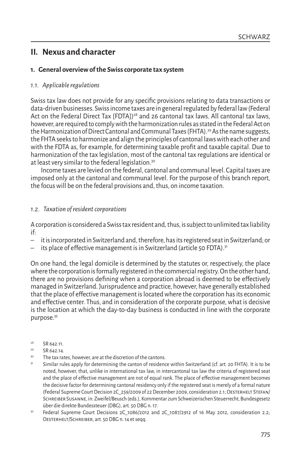# **II. Nexus and character**

# **1. General overview of the Swiss corporate tax system**

# *1.1. Applicable regulations*

Swiss tax law does not provide for any specific provisions relating to data transactions or data-driven businesses. Swiss income taxes are in general regulated by federal law (Federal Act on the Federal Direct Tax [FDTA])<sup>28</sup> and 26 cantonal tax laws. All cantonal tax laws, however, are required to comply with the harmonization rules as stated in the Federal Act on the Harmonization of Direct Cantonal and Communal Taxes (FHTA).<sup>29</sup> As the name suggests, the FHTA seeks to harmonize and align the principles of cantonal laws with each other and with the FDTA as, for example, for determining taxable profit and taxable capital. Due to harmonization of the tax legislation, most of the cantonal tax regulations are identical or at least very similar to the federal legislation.30

Income taxes are levied on the federal, cantonal and communal level. Capital taxes are imposed only at the cantonal and communal level. For the purpose of this branch report, the focus will be on the federal provisions and, thus, on income taxation.

# *1.2. Taxation of resident corporations*

A corporation is considered a Swiss tax resident and, thus, is subject to unlimited tax liability if:

- it is incorporated in Switzerland and, therefore, has its registered seat in Switzerland; or
- its place of effective management is in Switzerland (article 50 FDTA).<sup>31</sup>

On one hand, the legal domicile is determined by the statutes or, respectively, the place where the corporation is formally registered in the commercial registry. On the other hand, there are no provisions defining when a corporation abroad is deemed to be effectively managed in Switzerland. Jurisprudence and practice, however, have generally established that the place of effective management is located where the corporation has its economic and effective center. Thus, and in consideration of the corporate purpose, what is decisive is the location at which the day-to-day business is conducted in line with the corporate purpose.<sup>32</sup>

- <sup>28</sup> SR 642.11.
- $29$  SR 642.14.
- <sup>30</sup> The tax rates, however, are at the discretion of the cantons.
- Similar rules apply for determining the canton of residence within Switzerland (cf. art. 20 FHTA). It is to be noted, however, that, unlike in international tax law, in intercantonal tax law the criteria of registered seat and the place of effective management are not of equal rank. The place of effective management becomes the decisive factor for determining cantonal residency only if the registered seat is merely of a formal nature (Federal Supreme Court Decision 2C\_259/2009 of 22 December 2009, consideration 2.1; Oesterhelt Stefan/ Schreiber Susanne, in: Zweifel/Beusch (eds.), Kommentar zum Schweizerischen Steuerrecht, Bundesgesetz über die direkte Bundessteuer (DBG), art. 50 DBG n. 17.
- Federal Supreme Court Decisions 2C 1086/2012 and 2C 1087/2912 of 16 May 2012, consideration 2.2; Oesterhelt/Schreiber, art. 50 DBG n. 14 et seqq.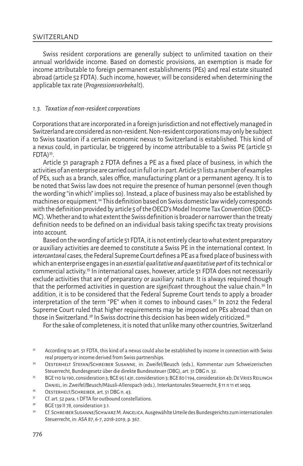# **SWITZERLAND**

Swiss resident corporations are generally subject to unlimited taxation on their annual worldwide income. Based on domestic provisions, an exemption is made for income attributable to foreign permanent establishments (PEs) and real estate situated abroad (article 52 FDTA). Such income, however, will be considered when determining the applicable tax rate (*Progressionsvorbehalt*).

# *1.3. Taxation of non-resident corporations*

Corporations that are incorporated in a foreign jurisdiction and not effectively managed in Switzerland are considered as non-resident. Non-resident corporations may only be subject to Swiss taxation if a certain economic nexus to Switzerland is established. This kind of a nexus could, in particular, be triggered by income attributable to a Swiss PE (article 51  $FDTA)$ <sup>33</sup>.

Article 51 paragraph 2 FDTA defines a PE as a fixed place of business, in which the activities of an enterprise are carried out in full or in part. Article 51 lists a number of examples of PEs, such as a branch, sales office, manufacturing plant or a permanent agency. It is to be noted that Swiss law does not require the presence of human personnel (even though the wording "in which" implies so). Instead, a place of business may also be established by machines or equipment.34 This definition based on Swiss domestic law widely corresponds with the definition provided by article 5 of the OECD's Model Income Tax Convention (OECD-MC). Whether and to what extent the Swiss definition is broader or narrower than the treaty definition needs to be defined on an individual basis taking specific tax treaty provisions into account.

Based on the wording of article 51 FDTA, it is not entirely clear to what extent preparatory or auxiliary activities are deemed to constitute a Swiss PE in the international context. In *intercantonal* cases, the Federal Supreme Court defines a PE as a fixed place of business with which an enterprise engages in an *essential qualitative and quantitative part* of its technical or commercial activity.35 In international cases, however, article 51 FDTA does not necessarily exclude activities that are of preparatory or auxiliary nature. It is always required though that the performed activities in question are *significant* throughout the value chain.36 In addition, it is to be considered that the Federal Supreme Court tends to apply a broader interpretation of the term "PE" when it comes to inbound cases. $37$  In 2012 the Federal Supreme Court ruled that higher requirements may be imposed on PEs abroad than on those in Switzerland.<sup>38</sup> In Swiss doctrine this decision has been widely criticized.<sup>39</sup>

For the sake of completeness, it is noted that unlike many other countries, Switzerland

<sup>33</sup> According to art. 51 FDTA, this kind of a nexus could also be established by income in connection with Swiss real property or income derived from Swiss partnerships.

<sup>34</sup> Oesterhelt Stefan/Schreiber Susanne, in: Zweifel/Beusch (eds.), Kommentar zum Schweizerischen Steuerrecht, Bundesgesetz über die direkte Bundessteuer (DBG), art. 51 DBG n. 32.

<sup>&</sup>lt;sup>35</sup> BGE 110 la 190, consideration 3; BGE 95 I 431, consideration 3; BGE 80 I 194, consideration 4b; DE VRIES REILINGH Daniel, in: Zweifel/Beusch/Mäusli-Allenspach (eds.), Interkantonales Steuerrecht, § 11 n 11 et seqq.

 $36$  OESTERHELT/SCHREIBER, art. 51 DBG n. 43.<br> $37$  Cf art. 52 para 1 DETA for outbound const

Cf. art. 52 para. 1 DFTA for outbound constellations.

<sup>&</sup>lt;sup>38</sup> BGE 139 II 78, consideration 3.1.

<sup>39</sup> Cf. Schreiber Susanne/Schwarz M. Angelica, Ausgewählte Urteile des Bundesgerichts zum internationalen Steuerrecht, in: ASA 87, 6-7, 2018-2019, p. 367.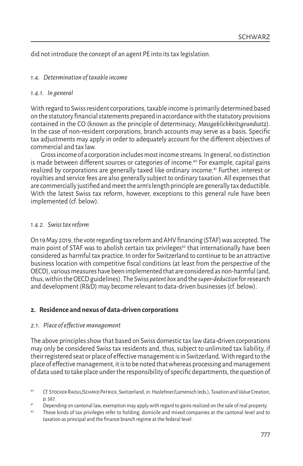did not introduce the concept of an agent PE into its tax legislation.

# *1.4. Determination of taxable income*

# *1.4.1. In general*

With regard to Swiss resident corporations, taxable income is primarily determined based on the statutory financial statements prepared in accordance with the statutory provisions contained in the CO (known as the principle of determinacy; *Massgeblichkeitsgrundsatz*). In the case of non-resident corporations, branch accounts may serve as a basis. Specific tax adjustments may apply in order to adequately account for the different objectives of commercial and tax law.

Gross income of a corporation includes most income streams. In general, no distinction is made between different sources or categories of income.<sup>40</sup> For example, capital gains realized by corporations are generally taxed like ordinary income.41 Further, interest or royalties and service fees are also generally subject to ordinary taxation. All expenses that are commercially justified and meet the arm's length principle are generally tax deductible. With the latest Swiss tax reform, however, exceptions to this general rule have been implemented (cf. below).

# *1.4.2. Swiss tax reform*

On 19 May 2019, the vote regarding tax reform and AHV financing (STAF) was accepted. The main point of STAF was to abolish certain tax privileges<sup>42</sup> that internationally have been considered as harmful tax practice. In order for Switzerland to continue to be an attractive business location with competitive fiscal conditions (at least from the perspective of the OECD), various measures have been implemented that are considered as non-harmful (and, thus, within the OECD guidelines). The Swiss *patent box* and the *super-deduction* for research and development (R&D) may become relevant to data-driven businesses (cf. below).

# **2. Residence and nexus of data-driven corporations**

# *2.1. Place of effective management*

The above principles show that based on Swiss domestic tax law data-driven corporations may only be considered Swiss tax residents and, thus, subject to unlimited tax liability, if their registered seat or place of effective management is in Switzerland. With regard to the place of effective management, it is to be noted that whereas processing and management of data used to take place under the responsibility of specific departments, the question of

<sup>40</sup> Cf. Stocker Raoul/Schmid Patrick, Switzerland, in: Haslehner/Lamensch (eds.), Taxation and Value Creation, p. 567.

<sup>41</sup> Depending on cantonal law, exemption may apply with regard to gains realized on the sale of real property.

 $42$  These kinds of tax privileges refer to holding, domicile and mixed companies at the cantonal level and to taxation as principal and the finance branch regime at the federal level.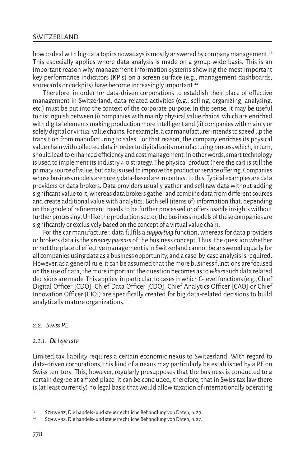how to deal with big data topics nowadays is mostly answered by company management.43 This especially applies where data analysis is made on a group-wide basis. This is an important reason why management information systems showing the most important key performance indicators (KPIs) on a screen surface (e.g., management dashboards, scorecards or cockpits) have become increasingly important.<sup>44</sup>

Therefore, in order for data-driven corporations to establish their place of effective management in Switzerland, data-related activities (e.g., selling, organizing, analysing, etc.) must be put into the context of the corporate purpose. In this sense, it may be useful to distinguish between (i) companies with mainly physical value chains, which are enriched with digital elements making production more intelligent and (ii) companies with mainly or solely digital or virtual value chains. For example, a car manufacturer intends to speed up the transition from manufacturing to sales. For that reason, the company enriches its physical value chain with collected data in order to digitalize its manufacturing process which, in turn, should lead to enhanced efficiency and cost management. In other words, smart technology is used to implement its industry 4.0 strategy. The physical product (here the car) is still the primary source of value, but data is used to improve the product or service offering. Companies whose business models are purely data-based are in contrast to this. Typical examples are data providers or data brokers. Data providers usually gather and sell raw data without adding significant value to it, whereas data brokers gather and combine data from different sources and create additional value with analytics. Both sell (items of) information that, depending on the grade of refinement, needs to be further processed or offers usable insights without further processing. Unlike the production sector, the business models of these companies are significantly or exclusively based on the concept of a virtual value chain.

For the car manufacturer, data fulfils a *supporting* function, whereas for data providers or brokers data is the *primary purpose* of the business concept. Thus, the question whether or not the place of effective management is in Switzerland cannot be answered equally for all companies using data as a business opportunity, and a case-by-case analysis is required. However, as a general rule, it can be assumed that the more business functions are focused on the use of data, the more important the question becomes as to *where* such data related decisions are made. This applies, in particular, to cases in which C-level functions (e.g., Chief Digital Officer [CDO], Chief Data Officer [CDO], Chief Analytics Officer [CAO] or Chief Innovation Officer [CIO]) are specifically created for big data-related decisions to build analytically mature organizations.

# *2.2. Swiss PE*

#### *2.2.1. De lege lata*

Limited tax liability requires a certain economic nexus to Switzerland. With regard to data-driven corporations, this kind of a nexus may particularly be established by a PE on Swiss territory. This, however, regularly presupposes that the business is conducted to a certain degree at a fixed place. It can be concluded, therefore, that in Swiss tax law there is (at least currently) no legal basis that would allow taxation of internationally operating

<sup>43</sup> Schwarz, Die handels- und steuerrechtliche Behandlung von Daten, p. 29.

<sup>44</sup> Schwarz, Die handels- und steuerrechtliche Behandlung von Daten, p. 27.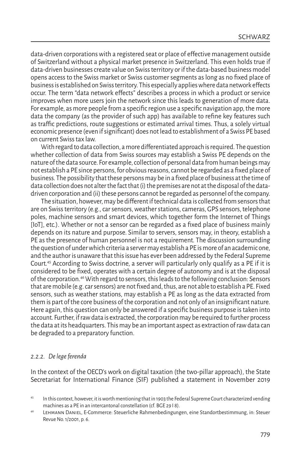data-driven corporations with a registered seat or place of effective management outside of Switzerland without a physical market presence in Switzerland. This even holds true if data-driven businesses create value on Swiss territory or if the data-based business model opens access to the Swiss market or Swiss customer segments as long as no fixed place of business is established on Swiss territory. This especially applies where data network effects occur. The term "data network effects" describes a process in which a product or service improves when more users join the network since this leads to generation of more data. For example, as more people from a specific region use a specific navigation app, the more data the company (as the provider of such app) has available to refine key features such as traffic predictions, route suggestions or estimated arrival times. Thus, a solely virtual economic presence (even if significant) does not lead to establishment of a Swiss PE based on current Swiss tax law.

With regard to data collection, a more differentiated approach is required. The question whether collection of data from Swiss sources may establish a Swiss PE depends on the nature of the data source. For example, collection of personal data from human beings may not establish a PE since persons, for obvious reasons, cannot be regarded as a fixed place of business. The possibility that these persons may be in a fixed place of business at the time of data collection does not alter the fact that (i) the premises are not at the disposal of the datadriven corporation and (ii) these persons cannot be regarded as personnel of the company.

The situation, however, may be different if technical data is collected from sensors that are on Swiss territory (e.g., car sensors, weather stations, cameras, GPS sensors, telephone poles, machine sensors and smart devices, which together form the Internet of Things [IoT], etc.). Whether or not a sensor can be regarded as a fixed place of business mainly depends on its nature and purpose. Similar to servers, sensors may, in theory, establish a PE as the presence of human personnel is not a requirement. The discussion surrounding the question of under which criteria a server may establish a PE is more of an academic one, and the author is unaware that this issue has ever been addressed by the Federal Supreme Court.45 According to Swiss doctrine, a server will particularly only qualify as a PE if it is considered to be fixed, operates with a certain degree of autonomy and is at the disposal of the corporation.46 With regard to sensors, this leads to the following conclusion: Sensors that are mobile (e.g. car sensors) are not fixed and, thus, are not able to establish a PE. Fixed sensors, such as weather stations, may establish a PE as long as the data extracted from them is part of the core business of the corporation and not only of an insignificant nature. Here again, this question can only be answered if a specific business purpose is taken into account. Further, if raw data is extracted, the corporation may be required to further process the data at its headquarters. This may be an important aspect as extraction of raw data can be degraded to a preparatory function.

#### *2.2.2. De lege ferenda*

In the context of the OECD's work on digital taxation (the two-pillar approach), the State Secretariat for International Finance (SIF) published a statement in November 2019

<sup>45</sup> In this context, however, it is worth mentioning that in 1903 the Federal Supreme Court characterized vending machines as a PE in an intercantonal constellation (cf. BGE 29 I 8).

<sup>46</sup> Lehmann Daniel, E-Commerce: Steuerliche Rahmenbedingungen, eine Standortbestimmung, in: Steuer Revue No. 1/2001, p. 6.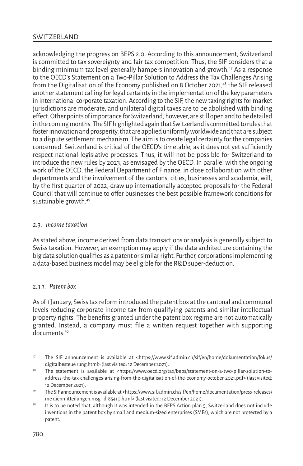acknowledging the progress on BEPS 2.0. According to this announcement, Switzerland is committed to tax sovereignty and fair tax competition. Thus, the SIF considers that a binding minimum tax level generally hampers innovation and growth.<sup>47</sup> As a response to the OECD's Statement on a Two-Pillar Solution to Address the Tax Challenges Arising from the Digitalisation of the Economy published on 8 October 2021,<sup>48</sup> the SIF released another statement calling for legal certainty in the implementation of the key parameters in international corporate taxation. According to the SIF, the new taxing rights for market jurisdictions are moderate, and unilateral digital taxes are to be abolished with binding effect. Other points of importance for Switzerland, however, are still open and to be detailed in the coming months. The SIF highlighted again that Switzerland is committed to rules that foster innovation and prosperity, that are applied uniformly worldwide and that are subject to a dispute settlement mechanism. The aim is to create legal certainty for the companies concerned. Switzerland is critical of the OECD's timetable, as it does not yet sufficiently respect national legislative processes. Thus, it will not be possible for Switzerland to introduce the new rules by 2023, as envisaged by the OECD. In parallel with the ongoing work of the OECD, the Federal Department of Finance, in close collaboration with other departments and the involvement of the cantons, cities, businesses and academia, will, by the first quarter of 2022, draw up internationally accepted proposals for the Federal Council that will continue to offer businesses the best possible framework conditions for sustainable growth.49

# *2.3. Income taxation*

As stated above, income derived from data transactions or analysis is generally subject to Swiss taxation. However, an exemption may apply if the data architecture containing the big data solution qualifies as a patent or similar right. Further, corporations implementing a data-based business model may be eligible for the R&D super-deduction.

# *2.3.1. Patent box*

As of 1 January, Swiss tax reform introduced the patent box at the cantonal and communal levels reducing corporate income tax from qualifying patents and similar intellectual property rights. The benefits granted under the patent box regime are not automatically granted. Instead, a company must file a written request together with supporting documents<sup>50</sup>

- <sup>47</sup> The SIF announcement is available at <https://www.sif.admin.ch/sif/en/home/dokumentation/fokus/ digitalbesteue rung.html> (last visited: 12 December 2021).
- <sup>48</sup> The statement is available at <https://www.oecd.org/tax/beps/statement-on-a-two-pillar-solution-toaddress-the-tax-challenges-arising-from-the-digitalisation-of-the-economy-october-2021.pdf> (last visited: 12 December 2021).
- <sup>49</sup> The SIF announcement is available at <https://www.sif.admin.ch/sif/en/home/documentation/press-releases/ me dienmitteilungen.msg-id-85410.html> (last visited: 12 December 2021).
- <sup>50</sup> It is to be noted that, although it was intended in the BEPS Action plan 5, Switzerland does not include inventions in the patent box by small and medium-sized enterprises (SMEs), which are not protected by a patent.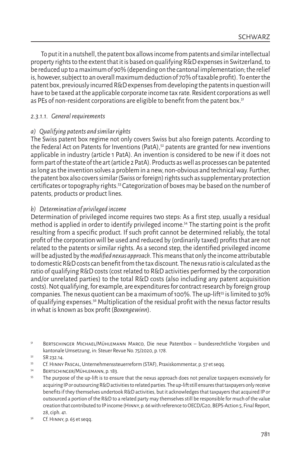To put it in a nutshell, the patent box allows income from patents and similar intellectual property rights to the extent that it is based on qualifying R&D expenses in Switzerland, to be reduced up to a maximum of 90% (depending on the cantonal implementation; the relief is, however, subject to an overall maximum deduction of 70% of taxable profit). To enter the patent box, previously incurred R&D expenses from developing the patents in question will have to be taxed at the applicable corporate income tax rate. Resident corporations as well as PEs of non-resident corporations are eligible to benefit from the patent box.<sup>51</sup>

# *2.3.1.1. General requirements*

# *a) Qualifying patents and similar rights*

The Swiss patent box regime not only covers Swiss but also foreign patents. According to the Federal Act on Patents for Inventions (PatA), $52$  patents are granted for new inventions applicable in industry (article 1 PatA). An invention is considered to be new if it does not form part of the state of the art (article 2 PatA). Products as well as processes can be patented as long as the invention solves a problem in a new, non-obvious and technical way. Further, the patent box also covers similar (Swiss or foreign) rights such as supplementary protection certificates or topography rights.53 Categorization of boxes may be based on the number of patents, products or product lines.

# *b) Determination of privileged income*

Determination of privileged income requires two steps: As a first step, usually a residual method is applied in order to identify privileged income.54 The starting point is the profit resulting from a specific product. If such profit cannot be determined reliably, the total profit of the corporation will be used and reduced by (ordinarily taxed) profits that are not related to the patents or similar rights. As a second step, the identified privileged income will be adjusted by the *modified nexus approach*. This means that only the income attributable to domestic R&D costs can benefit from the tax discount. The nexus ratio is calculated as the ratio of qualifying R&D costs (cost related to R&D activities performed by the corporation and/or unrelated parties) to the total R&D costs (also including any patent acquisition costs). Not qualifying, for example, are expenditures for contract research by foreign group companies. The nexus quotient can be a maximum of 100%. The up-lift<sup>55</sup> is limited to 30% of qualifying expenses.56 Multiplication of the residual profit with the nexus factor results in what is known as box profit (*Boxengewinn*).

- <sup>54</sup> Bertschinger/Mühlemann, p. 183.
- <sup>55</sup> The purpose of the up-lift is to ensure that the nexus approach does not penalize taxpayers excessively for acquiring IP or outsourcing R&D activities to related parties. The up-lift still ensures that taxpayers only receive benefits if they themselves undertook R&D activities, but it acknowledges that taxpayers that acquired IP or outsourced a portion of the R&D to a related party may themselves still be responsible for much of the value creation that contributed to IP income (Hinny, p. 66 with reference to OECD/G20, BEPS-Action 5, Final Report, 28, ciph. 41.
- <sup>56</sup> Cf. Hinny, p. 65 et seqq.

<sup>51</sup> Bertschinger Michael/Mühlemann Marco, Die neue Patentbox – bundesrechtliche Vorgaben und kantonale Umsetzung, in: Steuer Revue No. 75/2020, p. 178.

 $52$  SR 232.14.

<sup>53</sup> Cf. Hinny Pascal, Unternehmenssteuerreform (STAF), Praxiskommentar, p. 57 et seqq.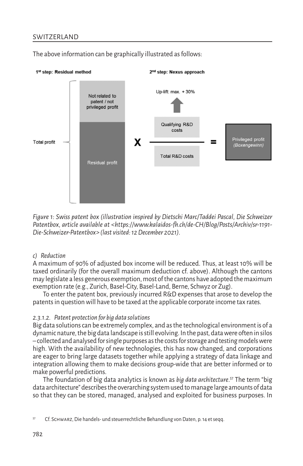# **SWITZERLAND**



The above information can be graphically illustrated as follows:

*Figure 1: Swiss patent box (illustration inspired by Dietschi Marc/Taddei Pascal, Die Schweizer Patentbox, article available at <https://www.kalaidos-fh.ch/de-CH/Blog/Posts/Archiv/sr-1191- Die-Schweizer-Patentbox> (last visited: 12 December 2021).*

#### *c) Reduction*

A maximum of 90% of adjusted box income will be reduced. Thus, at least 10% will be taxed ordinarily (for the overall maximum deduction cf. above). Although the cantons may legislate a less generous exemption, most of the cantons have adopted the maximum exemption rate (e.g., Zurich, Basel-City, Basel-Land, Berne, Schwyz or Zug).

To enter the patent box, previously incurred R&D expenses that arose to develop the patents in question will have to be taxed at the applicable corporate income tax rates.

# *2.3.1.2. Patent protection for big data solutions*

Big data solutions can be extremely complex, and as the technological environment is of a dynamic nature, the big data landscape is still evolving. In the past, data were often in silos – collected and analysed for single purposes as the costs for storage and testing models were high. With the availability of new technologies, this has now changed, and corporations are eager to bring large datasets together while applying a strategy of data linkage and integration allowing them to make decisions group-wide that are better informed or to make powerful predictions.

The foundation of big data analytics is known as *big data architecture*. 57 The term "big data architecture" describes the overarching system used to manage large amounts of data so that they can be stored, managed, analysed and exploited for business purposes. In

<sup>57</sup> Cf. Schwarz, Die handels- und steuerrechtliche Behandlung von Daten, p. 14 et seqq.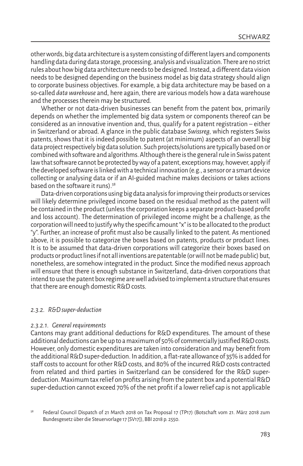other words, big data architecture is a system consisting of different layers and components handling data during data storage, processing, analysis and visualization. There are no strict rules about how big data architecture needs to be designed. Instead, a different data vision needs to be designed depending on the business model as big data strategy should align to corporate business objectives. For example, a big data architecture may be based on a so-called *data warehouse* and, here again, there are various models how a data warehouse and the processes therein may be structured.

Whether or not data-driven businesses can benefit from the patent box, primarily depends on whether the implemented big data system or components thereof can be considered as an innovative invention and, thus, qualify for a patent registration – either in Switzerland or abroad. A glance in the public database *Swissreg,* which registers Swiss patents, shows that it is indeed possible to patent (at minimum) aspects of an overall big data project respectively big data solution. Such projects/solutions are typically based on or combined with software and algorithms. Although there is the general rule in Swiss patent law that software cannot be protected by way of a patent, exceptions may, however, apply if the developed software is linked with a technical innovation (e.g., a sensor or a smart device collecting or analysing data or if an AI-guided machine makes decisions or takes actions based on the software it runs).<sup>58</sup>

Data-driven corporations using big data analysis for improving their products or services will likely determine privileged income based on the residual method as the patent will be contained in the product (unless the corporation keeps a separate product-based profit and loss account). The determination of privileged income might be a challenge, as the corporation will need to justify why the specific amount "x" is to be allocated to the product "y". Further, an increase of profit must also be causally linked to the patent. As mentioned above, it is possible to categorize the boxes based on patents, products or product lines. It is to be assumed that data-driven corporations will categorize their boxes based on products or product lines if not all inventions are patentable (or will not be made public) but, nonetheless, are somehow integrated in the product. Since the modified nexus approach will ensure that there is enough substance in Switzerland, data-driven corporations that intend to use the patent box regime are well advised to implement a structure that ensures that there are enough domestic R&D costs.

## *2.3.2. R&D super-deduction*

## *2.3.2.1. General requirements*

Cantons may grant additional deductions for R&D expenditures. The amount of these additional deductions can be up to a maximum of 50% of commercially justified R&D costs. However, only domestic expenditures are taken into consideration and may benefit from the additional R&D super-deduction. In addition, a flat-rate allowance of 35% is added for staff costs to account for other R&D costs, and 80% of the incurred R&D costs contracted from related and third parties in Switzerland can be considered for the R&D superdeduction. Maximum tax relief on profits arising from the patent box and a potential R&D super-deduction cannot exceed 70% of the net profit if a lower relief cap is not applicable

<sup>58</sup> Federal Council Dispatch of 21 March 2018 on Tax Proposal 17 (TP17) (Botschaft vom 21. März 2018 zum Bundesgesetz über die Steuervorlage 17 [SV17]), BBI 2018 p. 2550.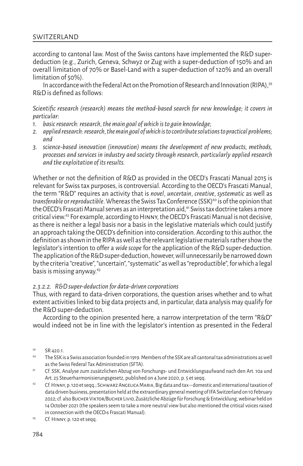according to cantonal law. Most of the Swiss cantons have implemented the R&D superdeduction (e.g., Zurich, Geneva, Schwyz or Zug with a super-deduction of 150% and an overall limitation of 70% or Basel-Land with a super-deduction of 120% and an overall limitation of 50%).

In accordance with the Federal Act on the Promotion of Research and Innovation (RIPA), 59 R&D is defined as follows:

*Scientific research (research) means the method-based search for new knowledge; it covers in particular:*

- *1. basic research: research, the main goal of which is to gain knowledge;*
- *2. applied research: research, the main goal of which is to contribute solutions to practical problems; and*
- *3. science-based innovation (innovation) means the development of new products, methods, processes and services in industry and society through research, particularly applied research and the exploitation of its results.*

Whether or not the definition of R&D as provided in the OECD's Frascati Manual 2015 is relevant for Swiss tax purposes, is controversial. According to the OECD's Frascati Manual, the term "R&D" requires an activity that is *novel*, *uncertain*, *creative*, *systematic* as well as *transferable* or *reproductible*. Whereas the Swiss Tax Conference (SSK)<sup>60</sup> is of the opinion that the OECD's Frascati Manual serves as an interpretation aid,<sup>61</sup> Swiss tax doctrine takes a more critical view.62 For example, according to Hinny, the OECD's Frascati Manual is not decisive, as there is neither a legal basis nor a basis in the legislative materials which could justify an approach taking the OECD's definition into consideration. According to this author, the definition as shown in the RIPA as well as the relevant legislative materials rather show the legislator's intention to offer a *wide scope* for the application of the R&D super-deduction. The application of the R&D super-deduction, however, will unnecessarily be narrowed down by the criteria "creative", "uncertain", "systematic" as well as "reproductible", for which a legal basis is missing anyway.63

#### *2.3.2.2. R&D super-deduction for data-driven corporations*

Thus, with regard to data-driven corporations, the question arises whether and to what extent activities linked to big data projects and, in particular, data analysis may qualify for the R&D super-deduction.

According to the opinion presented here, a narrow interpretation of the term "R&D" would indeed not be in line with the legislator's intention as presented in the Federal

- $60$  The SSK is a Swiss association founded in 1919. Members of the SSK are all cantonal tax administrations as well as the Swiss Federal Tax Administration (SFTA).
- <sup>61</sup> Cf. SSK, Analyse zum zusätzlichen Abzug von Forschungs- und Entwicklungsaufwand nach den Art. 10a und Art. 25 Steuerharmonisierungsgesetz, published on 4 June 2020, p. 5 et seqq.
- 62 Cf. HINNY, p. 120 et seqq.; SCHWARZ ANGELICA MARIA, Big data and tax domestic and international taxation of data driven business, presentation held at the extraordinary general meeting of IFA Switzerland on 10 February 2022; cf. also Bucher Viktor/Bucher Livio, Zusätzliche Abzüge für Forschung & Entwicklung, webinar held on 14 October 2021 (the speakers seem to take a more neutral view but also mentioned the critical voices raised in connection with the OECD›s Frascati Manual).
- <sup>63</sup> Cf. Hinny, p. 120 et seqq.

<sup>59</sup> SR 420.1.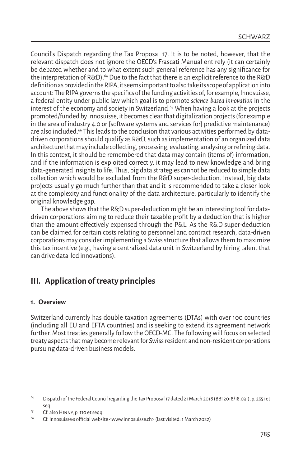Council's Dispatch regarding the Tax Proposal 17. It is to be noted, however, that the relevant dispatch does not ignore the OECD's Frascati Manual entirely (it can certainly be debated whether and to what extent such general reference has any significance for the interpretation of R&D).<sup>64</sup> Due to the fact that there is an explicit reference to the R&D definition as provided in the RIPA, it seems important to also take its scope of application into account: The RIPA governs the specifics of the funding activities of, for example, Innosuisse, a federal entity under public law which goal is to promote *science-based innovation* in the interest of the economy and society in Switzerland.65 When having a look at the projects promoted/funded by Innosuisse, it becomes clear that digitalization projects (for example in the area of industry 4.0 or [software systems and services for] predictive maintenance) are also included.<sup>66</sup> This leads to the conclusion that various activities performed by datadriven corporations should qualify as R&D, such as implementation of an organized data architecture that may include collecting, processing, evaluating, analysing or refining data. In this context, it should be remembered that data may contain (items of) information, and if the information is exploited correctly, it may lead to new knowledge and bring data-generated insights to life. Thus, big data strategies cannot be reduced to simple data collection which would be excluded from the R&D super-deduction. Instead, big data projects usually go much further than that and it is recommended to take a closer look at the complexity and functionality of the data architecture, particularly to identify the original knowledge gap.

The above shows that the R&D super-deduction might be an interesting tool for datadriven corporations aiming to reduce their taxable profit by a deduction that is higher than the amount effectively expensed through the P&L. As the R&D super-deduction can be claimed for certain costs relating to personnel and contract research, data-driven corporations may consider implementing a Swiss structure that allows them to maximize this tax incentive (e.g., having a centralized data unit in Switzerland by hiring talent that can drive data-led innovations).

# **III. Application of treaty principles**

# **1. Overview**

Switzerland currently has double taxation agreements (DTAs) with over 100 countries (including all EU and EFTA countries) and is seeking to extend its agreement network further. Most treaties generally follow the OECD-MC. The following will focus on selected treaty aspects that may become relevant for Swiss resident and non-resident corporations pursuing data-driven business models.

<sup>64</sup> Dispatch of the Federal Council regarding the Tax Proposal 17 dated 21 March 2018 (BBI 2018/18.031), p. 2551 et seq.

<sup>&</sup>lt;sup>65</sup> Cf. also HINNY, p. 110 et seqq.

<sup>66</sup> Cf. Innosuisse›s official website <www.innosuisse.ch> (last visited: 1 March 2022)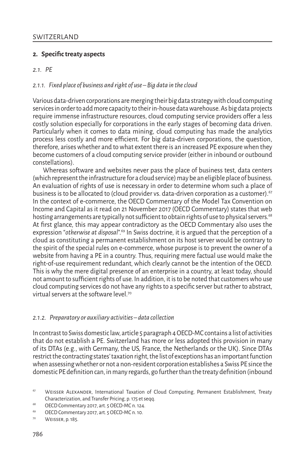# **2. Specifictreaty aspects**

# *2.1. PE*

# *2.1.1. Fixed place of business and right of use – Big data in the cloud*

Various data-driven corporations are merging their big data strategy with cloud computing services in order to add more capacity to their in-house data warehouse. As big data projects require immense infrastructure resources, cloud computing service providers offer a less costly solution especially for corporations in the early stages of becoming data driven. Particularly when it comes to data mining, cloud computing has made the analytics process less costly and more efficient. For big data-driven corporations, the question, therefore, arises whether and to what extent there is an increased PE exposure when they become customers of a cloud computing service provider (either in inbound or outbound constellations).

Whereas software and websites never pass the place of business test, data centers (which represent the infrastructure for a cloud service) may be an eligible place of business. An evaluation of rights of use is necessary in order to determine whom such a place of business is to be allocated to (cloud provider vs. data-driven corporation as a customer).<sup>67</sup> In the context of e-commerce, the OECD Commentary of the Model Tax Convention on Income and Capital as it read on 21 November 2017 (OECD Commentary) states that web hosting arrangements are typically not sufficient to obtain rights of use to physical servers.<sup>68</sup> At first glance, this may appear contradictory as the OECD Commentary also uses the expression "*otherwise at disposal*".69 In Swiss doctrine, it is argued that the perception of a cloud as constituting a permanent establishment on its host server would be contrary to the spirit of the special rules on e-commerce, whose purpose is to prevent the owner of a website from having a PE in a country. Thus, requiring mere factual use would make the right-of-use requirement redundant, which clearly cannot be the intention of the OECD. This is why the mere digital presence of an enterprise in a country, at least today, should not amount to sufficient rights of use. In addition, it is to be noted that customers who use cloud computing services do not have any rights to a specific server but rather to abstract, virtual servers at the software level.<sup>70</sup>

# *2.1.2. Preparatory or auxiliary activities – data collection*

In contrast to Swiss domestic law, article 5 paragraph 4 OECD-MC contains a list of activities that do not establish a PE. Switzerland has more or less adopted this provision in many of its DTAs (e.g., with Germany, the US, France, the Netherlands or the UK). Since DTAs restrict the contracting states' taxation right, the list of exceptions has an important function when assessing whether or not a non-resident corporation establishes a Swiss PE since the domestic PE definition can, in many regards, go further than the treaty definition (inbound

<sup>&</sup>lt;sup>67</sup> WEISSER ALEXANDER, International Taxation of Cloud Computing, Permanent Establishment, Treaty Characterization, and Transfer Pricing, p. 175 et seqq.

<sup>68</sup> OECD Commentary 2017, art. 5 OECD-MC n. 124.

<sup>69</sup> OECD Commentary 2017, art. 5 OECD-MC n. 10.

<sup>70</sup> Weisser, p. 185.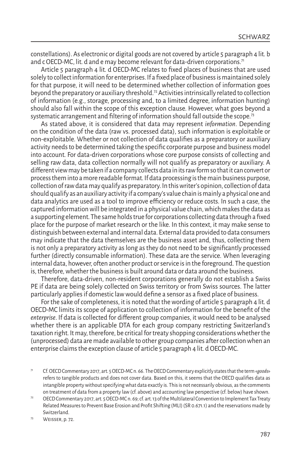constellations). As electronic or digital goods are not covered by article 5 paragraph 4 lit. b and c OECD-MC, lit. d and e may become relevant for data-driven corporations.<sup>71</sup>

Article 5 paragraph 4 lit. d OECD-MC relates to fixed places of business that are used solely to collect information for enterprises. If a fixed place of business is maintained solely for that purpose, it will need to be determined whether collection of information goes beyond the preparatory or auxiliary threshold.<sup>72</sup> Activities intrinsically related to collection of information (e.g., storage, processing and, to a limited degree, information hunting) should also fall within the scope of this exception clause. However, what goes beyond a systematic arrangement and filtering of information should fall outside the scope.<sup>73</sup>

As stated above, it is considered that data may represent *information*. Depending on the condition of the data (raw vs. processed data), such information is exploitable or non-exploitable. Whether or not collection of data qualifies as a preparatory or auxiliary activity needs to be determined taking the specific corporate purpose and business model into account. For data-driven corporations whose core purpose consists of collecting and selling raw data, data collection normally will not qualify as preparatory or auxiliary. A different view may be taken if a company collects data in its raw form so that it can convert or process them into a more readable format. If data processing is the main business purpose, collection of raw data may qualify as preparatory. In this writer's opinion, collection of data should qualify as an auxiliary activity if a company's value chain is mainly a physical one and data analytics are used as a tool to improve efficiency or reduce costs. In such a case, the captured information will be integrated in a physical value chain, which makes the data as a supporting element. The same holds true for corporations collecting data through a fixed place for the purpose of market research or the like. In this context, it may make sense to distinguish between external and internal data. External data provided to data consumers may indicate that the data themselves are the business asset and, thus, collecting them is not only a preparatory activity as long as they do not need to be significantly processed further (directly consumable information). These data are the service. When leveraging internal data, however, often another product or service is in the foreground. The question is, therefore, whether the business is built around data or data around the business.

Therefore, data-driven, non-resident corporations generally do not establish a Swiss PE if data are being solely collected on Swiss territory or from Swiss sources. The latter particularly applies if domestic law would define a sensor as a fixed place of business.

For the sake of completeness, it is noted that the wording of article 5 paragraph 4 lit. d OECD-MC limits its scope of application to collection of information for the benefit of the *enterprise*. If data is collected for different group companies, it would need to be analysed whether there is an applicable DTA for each group company restricting Switzerland's taxation right. It may, therefore, be critical for treaty shopping considerations whether the (unprocessed) data are made available to other group companies after collection when an enterprise claims the exception clause of article 5 paragraph 4 lit. d OECD-MC.

<sup>71</sup> Cf. OECD Commentary 2017, art. 5 OECD-MC n. 66. The OECD Commentary explicitly states that the term «*goods*» refers to tangible products and does not cover data. Based on this, it seems that the OECD qualifies data as intangible property without specifying what data exactly is. This is not necessarily obvious, as the comments on treatment of data from a property law (cf. above) and accounting law perspective (cf. below) have shown.

<sup>&</sup>lt;sup>72</sup> OECD Commentary 2017, art. 5 OECD-MC n. 69; cf. art. 13 of the Multilateral Convention to Implement Tax Treaty Related Measures to Prevent Base Erosion and Profit Shifting (MLI) (SR 0.671.1) and the reservations made by Switzerland.

<sup>73</sup> Weisser, p. 72.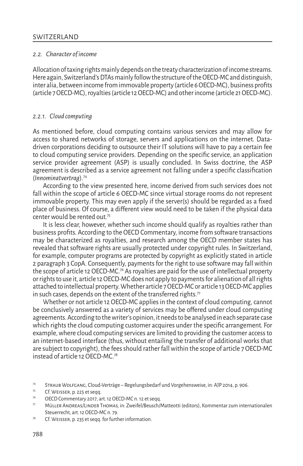# *2.2. Character of income*

Allocation of taxing rights mainly depends on the treaty characterization of income streams. Here again, Switzerland's DTAs mainly follow the structure of the OECD-MC and distinguish, inter alia, between income from immovable property (article 6 OECD-MC), business profits (article 7 OECD-MC), royalties (article 12 OECD-MC) and other income (article 21 OECD-MC).

# *2.2.1. Cloud computing*

As mentioned before, cloud computing contains various services and may allow for access to shared networks of storage, servers and applications on the internet. Datadriven corporations deciding to outsource their IT solutions will have to pay a certain fee to cloud computing service providers. Depending on the specific service, an application service provider agreement (ASP) is usually concluded. In Swiss doctrine, the ASP agreement is described as a service agreement not falling under a specific classification (*Innominatvertrag*).74

According to the view presented here, income derived from such services does not fall within the scope of article 6 OECD-MC since virtual storage rooms do not represent immovable property. This may even apply if the server(s) should be regarded as a fixed place of business. Of course, a different view would need to be taken if the physical data center would be rented out<sup>75</sup>

It is less clear, however, whether such income should qualify as royalties rather than business profits. According to the OECD Commentary, income from software transactions may be characterized as royalties, and research among the OECD member states has revealed that software rights are usually protected under copyright rules. In Switzerland, for example, computer programs are protected by copyright as explicitly stated in article 2 paragraph 3 CopA. Consequently, payments for the right to use software may fall within the scope of article 12 OECD-MC.<sup>76</sup> As royalties are paid for the use of intellectual property or rights to use it, article 12 OECD-MC does not apply to payments for alienation of all rights attached to intellectual property. Whether article 7 OECD-MC or article 13 OECD-MC applies in such cases, depends on the extent of the transferred rights. $77$ 

Whether or not article 12 OECD-MC applies in the context of cloud computing, cannot be conclusively answered as a variety of services may be offered under cloud computing agreements. According to the writer's opinion, it needs to be analysed in each separate case which rights the cloud computing customer acquires under the specific arrangement. For example, where cloud computing services are limited to providing the customer access to an internet-based interface (thus, without entailing the transfer of additional works that are subject to copyright), the fees should rather fall within the scope of article 7 OECD-MC instead of article 12 OECD-MC.<sup>78</sup>

<sup>74</sup> Straub Wolfgang, Cloud-Verträge – Regelungsbedarf und Vorgehensweise, in: AJP 2014, p. 906.

 $75$  Cf. WEISSER, p. 225 et seqq.

OECD Commentary 2017, art. 12 OECD-MC n. 12 et seqq.

 $77$  Müller Andreas/Linder Thomas, in: Zweifel/Beusch/Matteotti (editors), Kommentar zum internationalen Steuerrecht, art. 12 OECD-MC n. 79.

<sup>78</sup> Cf. Weisser, p. 235 et seqq. for further information.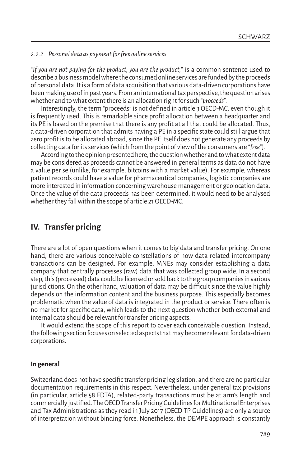# *2.2.2. Personal data as payment for free online services*

"*If you are not paying for the product, you are the product,*" is a common sentence used to describe a business model where the consumed online services are funded by the proceeds of personal data. It is a form of data acquisition that various data-driven corporations have been making use of in past years. From an international tax perspective, the question arises whether and to what extent there is an allocation right for such "*proceeds*".

Interestingly, the term "proceeds" is not defined in article 3 OECD-MC, even though it is frequently used. This is remarkable since profit allocation between a headquarter and its PE is based on the premise that there is any profit at all that could be allocated. Thus, a data-driven corporation that admits having a PE in a specific state could still argue that zero profit is to be allocated abroad, since the PE itself does not generate any proceeds by collecting data for its services (which from the point of view of the consumers are "*free*").

According to the opinion presented here, the question whether and to what extent data may be considered as proceeds cannot be answered in general terms as data do not have a value per se (unlike, for example, bitcoins with a market value). For example, whereas patient records could have a value for pharmaceutical companies, logistic companies are more interested in information concerning warehouse management or geolocation data. Once the value of the data proceeds has been determined, it would need to be analysed whether they fall within the scope of article 21 OECD-MC.

# **IV. Transfer pricing**

There are a lot of open questions when it comes to big data and transfer pricing. On one hand, there are various conceivable constellations of how data-related intercompany transactions can be designed. For example, MNEs may consider establishing a data company that centrally processes (raw) data that was collected group wide. In a second step, this (processed) data could be licensed or sold back to the group companies in various jurisdictions. On the other hand, valuation of data may be difficult since the value highly depends on the information content and the business purpose. This especially becomes problematic when the value of data is integrated in the product or service. There often is no market for specific data, which leads to the next question whether both external and internal data should be relevant for transfer pricing aspects.

It would extend the scope of this report to cover each conceivable question. Instead, the following section focuses on selected aspects that may become relevant for data-driven corporations.

# **In general**

Switzerland does not have specific transfer pricing legislation, and there are no particular documentation requirements in this respect. Nevertheless, under general tax provisions (in particular, article 58 FDTA), related-party transactions must be at arm's length and commercially justified. The OECD Transfer Pricing Guidelines for Multinational Enterprises and Tax Administrations as they read in July 2017 (OECD TP-Guidelines) are only a source of interpretation without binding force. Nonetheless, the DEMPE approach is constantly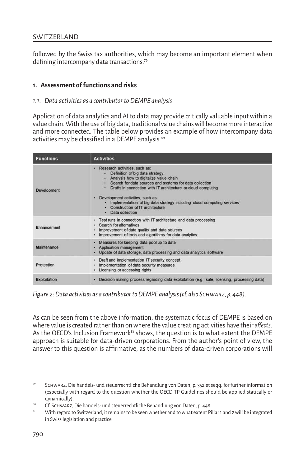# **SWITZERLAND**

followed by the Swiss tax authorities, which may become an important element when defining intercompany data transactions.<sup>79</sup>

# **1. Assessment of functions and risks**

# *1.1. Data activities as a contributor to DEMPE analysis*

Application of data analytics and AI to data may provide critically valuable input within a value chain. With the use of big data, traditional value chains will become more interactive and more connected. The table below provides an example of how intercompany data activities may be classified in a DEMPE analysis.<sup>80</sup>

| <b>Functions</b>   | <b>Activities</b>                                                                                                                                                                                                                                                                                                                                                                                                 |
|--------------------|-------------------------------------------------------------------------------------------------------------------------------------------------------------------------------------------------------------------------------------------------------------------------------------------------------------------------------------------------------------------------------------------------------------------|
| <b>Development</b> | Research activities, such as:<br>Definition of big data strategy<br>Analysis how to digitalize value chain<br>- Search for data sources and systems for data collection<br>- Drafts in connection with IT architecture or cloud computing<br>· Development activities, such as:<br>Implementation of big data strategy including cloud computing services<br>Construction of IT architecture<br>· Data collection |
| Enhancement        | - Test runs in connection with IT architecture and data processing<br>Search for alternatives<br>Improvement of data quality and data sources<br>· Improvement of tools and algorithms for data analytics                                                                                                                                                                                                         |
| Maintenance        | Measures for keeping data pool up to date<br>$\bullet$<br>Application management<br>Update of data storage, data processing and data analytics software                                                                                                                                                                                                                                                           |
| <b>Protection</b>  | Draft and implementation IT security concept<br>Implementation of data security measures<br>Licensing or accessing rights                                                                                                                                                                                                                                                                                         |
| Exploitation       | - Decision making process regarding data exploitation (e.g., sale, licensing, processing data)                                                                                                                                                                                                                                                                                                                    |

*Figure 2: Data activities as a contributor to DEMPE analysis (cf. also Schwarz, p. 448).*

As can be seen from the above information, the systematic focus of DEMPE is based on where value is created rather than on where the value creating activities have their *effects*. As the OECD's Inclusion Framework<sup>81</sup> shows, the question is to what extent the DEMPE approach is suitable for data-driven corporations. From the author's point of view, the answer to this question is affirmative, as the numbers of data-driven corporations will

81 With regard to Switzerland, it remains to be seen whether and to what extent Pillar 1 and 2 will be integrated in Swiss legislation and practice.

<sup>79</sup> Schwarz, Die handels- und steuerrechtliche Behandlung von Daten, p. 352 et seqq. for further information (especially with regard to the question whether the OECD TP Guidelines should be applied statically or dynamically).

<sup>80</sup> Cf. Schwarz, Die handels- und steuerrechtliche Behandlung von Daten, p. 448.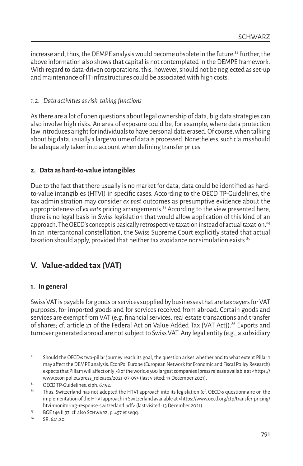increase and, thus, the DEMPE analysis would become obsolete in the future. $82$  Further, the above information also shows that capital is not contemplated in the DEMPE framework. With regard to data-driven corporations, this, however, should not be neglected as set-up and maintenance of IT infrastructures could be associated with high costs.

# *1.2. Data activities as risk-taking functions*

As there are a lot of open questions about legal ownership of data, big data strategies can also involve high risks. An area of exposure could be, for example, where data protection law introduces a right for individuals to have personal data erased. Of course, when talking about big data, usually a large volume of data is processed. Nonetheless, such claims should be adequately taken into account when defining transfer prices.

# **2. Data as hard-to-value intangibles**

Due to the fact that there usually is no market for data, data could be identified as hardto-value intangibles (HTVI) in specific cases. According to the OECD TP-Guidelines, the tax administration may consider *ex post* outcomes as presumptive evidence about the appropriateness of *ex ante* pricing arrangements.<sup>83</sup> According to the view presented here, there is no legal basis in Swiss legislation that would allow application of this kind of an approach. The OECD's concept is basically retrospective taxation instead of actual taxation.<sup>84</sup> In an intercantonal constellation, the Swiss Supreme Court explicitly stated that actual taxation should apply, provided that neither tax avoidance nor simulation exists.<sup>85</sup>

# **V. Value-added tax (VAT)**

# **1. In general**

Swiss VAT is payable for goods or services supplied by businesses that are taxpayers for VAT purposes, for imported goods and for services received from abroad. Certain goods and services are exempt from VAT (e.g. financial services, real estate transactions and transfer of shares; cf. article 21 of the Federal Act on Value Added Tax [VAT Act]).86 Exports and turnover generated abroad are not subject to Swiss VAT. Any legal entity (e.g., a subsidiary

<sup>82</sup> Should the OECD<sub>'</sub>s two-pillar journey reach its goal, the question arises whether and to what extent Pillar 1 may affect the DEMPE analysis. EconPol Europe (European Network for Economic and Fiscal Policy Research) expects that Pillar 1 will affect only 78 of the worlds 500 largest companies (press release available at <https:// www.econ pol.eu/press\_releases/2021-07-05> (last visited: 13 December 2021).

<sup>83</sup> OECD TP-Guidelines, ciph. 6.192.

<sup>84</sup> Thus, Switzerland has not adopted the HTVI approach into its legislation (cf. OECD>s questionnaire on the implementation of the HTVI approach in Switzerland available at <https://www.oecd.org/ctp/transfer-pricing/ htvi-monitoring-response-switzerland.pdf> (last visited: 13 December 2021).

<sup>&</sup>lt;sup>85</sup> BGE 146 II 97; cf. also Schwarz, p. 457 et seqq.

SR. 641.20.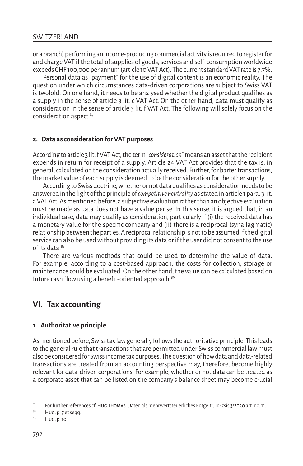or a branch) performing an income-producing commercial activity is required to register for and charge VAT if the total of supplies of goods, services and self-consumption worldwide exceeds CHF 100,000 per annum (article 10 VAT Act). The current standard VAT rate is 7.7%.

Personal data as "payment" for the use of digital content is an economic reality. The question under which circumstances data-driven corporations are subject to Swiss VAT is twofold: On one hand, it needs to be analysed whether the digital product qualifies as a supply in the sense of article 3 lit. c VAT Act. On the other hand, data must qualify as consideration in the sense of article 3 lit. f VAT Act. The following will solely focus on the consideration aspect.87

#### **2. Data as consideration for VAT purposes**

According to article 3 lit. f VAT Act, the term "*consideration*" means an asset that the recipient expends in return for receipt of a supply. Article 24 VAT Act provides that the tax is, in general, calculated on the consideration actually received. Further, for barter transactions, the market value of each supply is deemed to be the consideration for the other supply.

According to Swiss doctrine, whether or not data qualifies as consideration needs to be answered in the light of the principle of *competitive neutrality* as stated in article 1 para. 3 lit. a VAT Act. As mentioned before, a subjective evaluation rather than an objective evaluation must be made as data does not have a value per se. In this sense, it is argued that, in an individual case, data may qualify as consideration, particularly if (i) the received data has a monetary value for the specific company and (ii) there is a reciprocal (synallagmatic) relationship between the parties. A reciprocal relationship is not to be assumed if the digital service can also be used without providing its data or if the user did not consent to the use of its data.<sup>88</sup>

There are various methods that could be used to determine the value of data. For example, according to a cost-based approach, the costs for collection, storage or maintenance could be evaluated. On the other hand, the value can be calculated based on future cash flow using a benefit-oriented approach.<sup>89</sup>

# **VI. Tax accounting**

## **1. Authoritative principle**

As mentioned before, Swiss tax law generally follows the authoritative principle. This leads to the general rule that transactions that are permitted under Swiss commercial law must also be considered for Swiss income tax purposes. The question of how data and data-related transactions are treated from an accounting perspective may, therefore, become highly relevant for data-driven corporations. For example, whether or not data can be treated as a corporate asset that can be listed on the company's balance sheet may become crucial

88 Hug, p. 7 et seqq.

<sup>87</sup> For further references cf. Hug Thomas, Daten als mehrwertsteuerliches Entgelt?, in: zsis 3/2020 art. no. 11.

<sup>89</sup> Hug, p. 10.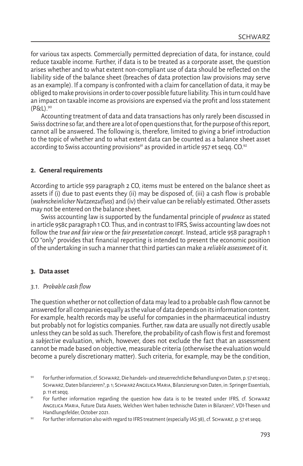for various tax aspects. Commercially permitted depreciation of data, for instance, could reduce taxable income. Further, if data is to be treated as a corporate asset, the question arises whether and to what extent non-compliant use of data should be reflected on the liability side of the balance sheet (breaches of data protection law provisions may serve as an example). If a company is confronted with a claim for cancellation of data, it may be obliged to make provisions in order to cover possible future liability. This in turn could have an impact on taxable income as provisions are expensed via the profit and loss statement (P&L).90

Accounting treatment of data and data transactions has only rarely been discussed in Swiss doctrine so far, and there are a lot of open questions that, for the purpose of this report, cannot all be answered. The following is, therefore, limited to giving a brief introduction to the topic of whether and to what extent data can be counted as a balance sheet asset according to Swiss accounting provisions<sup>91</sup> as provided in article 957 et segg.  $CO.<sup>92</sup>$ 

# **2. General requirements**

According to article 959 paragraph 2 CO, items must be entered on the balance sheet as assets if (i) due to past events they (ii) may be disposed of, (iii) a cash flow is probable (*wahrscheinlicher Nutzenzufluss*) and (iv) their value can be reliably estimated. Other assets may not be entered on the balance sheet.

Swiss accounting law is supported by the fundamental principle of *prudence* as stated in article 958c paragraph 1 CO. Thus, and in contrast to IFRS, Swiss accounting law does not follow the *true and fair view* or the *fair presentation concept*. Instead, article 958 paragraph 1 CO "only" provides that financial reporting is intended to present the economic position of the undertaking in such a manner that third parties can make a *reliable assessment* of it.

# **3. Data asset**

# *3.1. Probable cash flow*

The question whether or not collection of data may lead to a probable cash flow cannot be answered for all companies equally as the value of data depends on its information content. For example, health records may be useful for companies in the pharmaceutical industry but probably not for logistics companies. Further, raw data are usually not directly usable unless they can be sold as such. Therefore, the probability of cash flow is first and foremost a *subjective* evaluation, which, however, does not exclude the fact that an assessment cannot be made based on objective, measurable criteria (otherwise the evaluation would become a purely discretionary matter). Such criteria, for example, may be the condition,

<sup>90</sup> For further information, cf. Schwarz, Die handels- und steuerrechtliche Behandlung von Daten, p. 57 et seqq.; Schwarz, Daten bilanzieren?, p. 1; Schwarz Angelica Maria, Bilanzierung von Daten, in: Springer Essentials, p. 11 et seqq.

For further information regarding the question how data is to be treated under IFRS, cf. SCHWARZ Angelica Maria, Future Data Assets, Welchen Wert haben technische Daten in Bilanzen?, VDI-Thesen und Handlungsfelder, October 2021.

<sup>&</sup>lt;sup>92</sup> For further information also with regard to IFRS treatment (especially IAS 38), cf. SCHWARZ, p. 57 et seqq.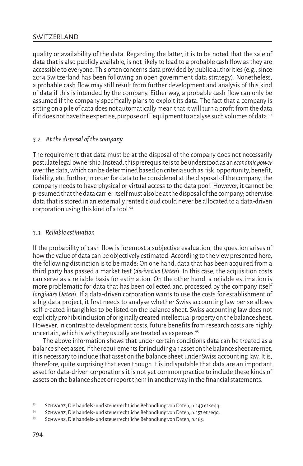quality or availability of the data. Regarding the latter, it is to be noted that the sale of data that is also publicly available, is not likely to lead to a probable cash flow as they are accessible to everyone. This often concerns data provided by public authorities (e.g., since 2014 Switzerland has been following an open government data strategy). Nonetheless, a probable cash flow may still result from further development and analysis of this kind of data if this is intended by the company. Either way, a probable cash flow can only be assumed if the company specifically plans to exploit its data. The fact that a company is sitting on a pile of data does not automatically mean that it will turn a profit from the data if it does not have the expertise, purpose or IT equipment to analyse such volumes of data.<sup>93</sup>

# *3.2. At the disposal of the company*

The requirement that data must be at the disposal of the company does not necessarily postulate legal ownership. Instead, this prerequisite is to be understood as an *economic power* over the data, which can be determined based on criteria such as risk, opportunity, benefit, liability, etc. Further, in order for data to be considered at the disposal of the company, the company needs to have physical or virtual access to the data pool. However, it cannot be presumed that the data carrier itself must also be at the disposal of the company; otherwise data that is stored in an externally rented cloud could never be allocated to a data-driven corporation using this kind of a tool.94

# *3.3. Reliable estimation*

If the probability of cash flow is foremost a subjective evaluation, the question arises of how the value of data can be objectively estimated. According to the view presented here, the following distinction is to be made: On one hand, data that has been acquired from a third party has passed a market test (*derivative Daten*). In this case, the acquisition costs can serve as a reliable basis for estimation. On the other hand, a reliable estimation is more problematic for data that has been collected and processed by the company itself (*originäre Daten*). If a data-driven corporation wants to use the costs for establishment of a big data project, it first needs to analyse whether Swiss accounting law per se allows self-created intangibles to be listed on the balance sheet. Swiss accounting law does not explicitly prohibit inclusion of originally created intellectual property on the balance sheet. However, in contrast to development costs, future benefits from research costs are highly uncertain, which is why they usually are treated as expenses.<sup>95</sup>

The above information shows that under certain conditions data can be treated as a balance sheet asset. If the requirements for including an asset on the balance sheet are met, it is necessary to include that asset on the balance sheet under Swiss accounting law. It is, therefore, quite surprising that even though it is indisputable that data are an important asset for data-driven corporations it is not yet common practice to include these kinds of assets on the balance sheet or report them in another way in the financial statements.

<sup>93</sup> SCHWARZ, Die handels- und steuerrechtliche Behandlung von Daten, p. 149 et seqq.

<sup>94</sup> Schwarz, Die handels- und steuerrechtliche Behandlung von Daten, p. 157 et seqq.

<sup>95</sup> SCHWARZ, Die handels- und steuerrechtliche Behandlung von Daten, p. 165.